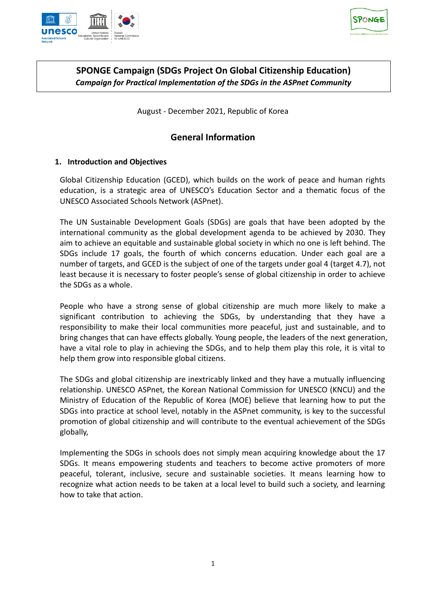



## **SPONGE Campaign (SDGs Project On Global Citizenship Education)** *Campaign for Practical Implementation of the SDGs in the ASPnet Community*

August - December 2021, Republic of Korea

# **General Information**

### **1. Introduction and Objectives**

Global Citizenship Education (GCED), which builds on the work of peace and human rights education, is a strategic area of UNESCO's Education Sector and a thematic focus of the UNESCO Associated Schools Network (ASPnet).

The UN Sustainable Development Goals (SDGs) are goals that have been adopted by the international community as the global development agenda to be achieved by 2030. They aim to achieve an equitable and sustainable global society in which no one is left behind. The SDGs include 17 goals, the fourth of which concerns education. Under each goal are a number of targets, and GCED is the subject of one of the targets under goal 4 (target 4.7), not least because it is necessary to foster people's sense of global citizenship in order to achieve the SDGs as a whole.

People who have a strong sense of global citizenship are much more likely to make a significant contribution to achieving the SDGs, by understanding that they have a responsibility to make their local communities more peaceful, just and sustainable, and to bring changes that can have effects globally. Young people, the leaders of the next generation, have a vital role to play in achieving the SDGs, and to help them play this role, it is vital to help them grow into responsible global citizens.

The SDGs and global citizenship are inextricably linked and they have a mutually influencing relationship. UNESCO ASPnet, the Korean National Commission for UNESCO (KNCU) and the Ministry of Education of the Republic of Korea (MOE) believe that learning how to put the SDGs into practice at school level, notably in the ASPnet community, is key to the successful promotion of global citizenship and will contribute to the eventual achievement of the SDGs globally,

Implementing the SDGs in schools does not simply mean acquiring knowledge about the 17 SDGs. It means empowering students and teachers to become active promoters of more peaceful, tolerant, inclusive, secure and sustainable societies. It means learning how to recognize what action needs to be taken at a local level to build such a society, and learning how to take that action.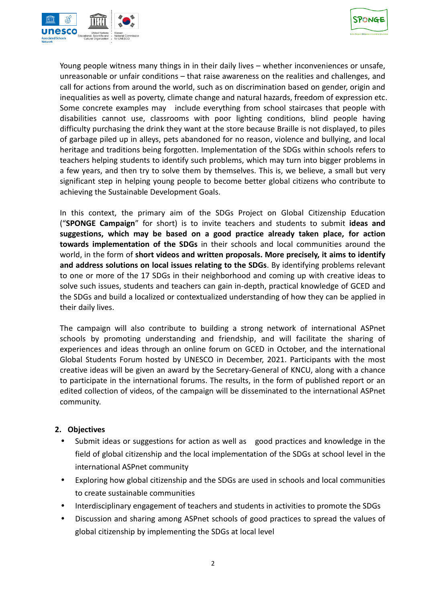



Young people witness many things in in their daily lives – whether inconveniences or unsafe, unreasonable or unfair conditions – that raise awareness on the realities and challenges, and call for actions from around the world, such as on discrimination based on gender, origin and inequalities as well as poverty, climate change and natural hazards, freedom of expression etc. Some concrete examples may include everything from school staircases that people with disabilities cannot use, classrooms with poor lighting conditions, blind people having difficulty purchasing the drink they want at the store because Braille is not displayed, to piles of garbage piled up in alleys, pets abandoned for no reason, violence and bullying, and local heritage and traditions being forgotten. Implementation of the SDGs within schools refers to teachers helping students to identify such problems, which may turn into bigger problems in a few years, and then try to solve them by themselves. This is, we believe, a small but very significant step in helping young people to become better global citizens who contribute to achieving the Sustainable Development Goals.

In this context, the primary aim of the SDGs Project on Global Citizenship Education ("**SPONGE Campaign**" for short) is to invite teachers and students to submit **ideas and suggestions, which may be based on a good practice already taken place, for action towards implementation of the SDGs** in their schools and local communities around the world, in the form of **short videos and written proposals. More precisely, it aims to identify and address solutions on local issues relating to the SDGs**. By identifying problems relevant to one or more of the 17 SDGs in their neighborhood and coming up with creative ideas to solve such issues, students and teachers can gain in-depth, practical knowledge of GCED and the SDGs and build a localized or contextualized understanding of how they can be applied in their daily lives.

The campaign will also contribute to building a strong network of international ASPnet schools by promoting understanding and friendship, and will facilitate the sharing of experiences and ideas through an online forum on GCED in October, and the international Global Students Forum hosted by UNESCO in December, 2021. Participants with the most creative ideas will be given an award by the Secretary-General of KNCU, along with a chance to participate in the international forums. The results, in the form of published report or an edited collection of videos, of the campaign will be disseminated to the international ASPnet community.

#### **2. Objectives**

- Submit ideas or suggestions for action as well as good practices and knowledge in the field of global citizenship and the local implementation of the SDGs at school level in the international ASPnet community
- Exploring how global citizenship and the SDGs are used in schools and local communities to create sustainable communities
- Interdisciplinary engagement of teachers and students in activities to promote the SDGs
- Discussion and sharing among ASPnet schools of good practices to spread the values of global citizenship by implementing the SDGs at local level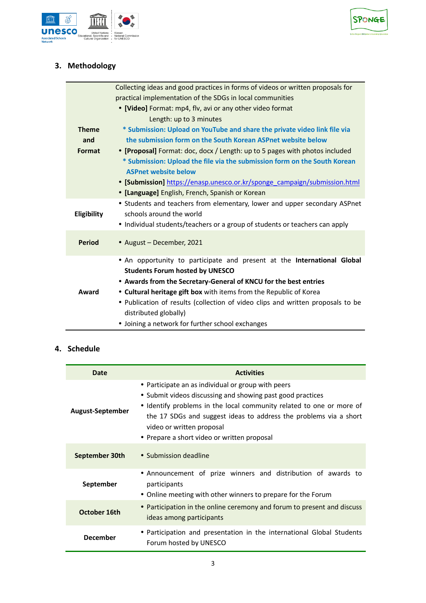



# **3. Methodology**

|               | Collecting ideas and good practices in forms of videos or written proposals for |
|---------------|---------------------------------------------------------------------------------|
|               | practical implementation of the SDGs in local communities                       |
|               | • [Video] Format: mp4, flv, avi or any other video format                       |
|               | Length: up to 3 minutes                                                         |
| <b>Theme</b>  | * Submission: Upload on YouTube and share the private video link file via       |
| and           | the submission form on the South Korean ASPnet website below                    |
| Format        | • [Proposal] Format: doc, docx / Length: up to 5 pages with photos included     |
|               | * Submission: Upload the file via the submission form on the South Korean       |
|               | <b>ASPnet website below</b>                                                     |
|               | • [Submission] https://enasp.unesco.or.kr/sponge_campaign/submission.html       |
|               | • [Language] English, French, Spanish or Korean                                 |
|               | • Students and teachers from elementary, lower and upper secondary ASPnet       |
| Eligibility   | schools around the world                                                        |
|               | • Individual students/teachers or a group of students or teachers can apply     |
| <b>Period</b> |                                                                                 |
|               | • August - December, 2021                                                       |
|               | . An opportunity to participate and present at the International Global         |
|               | <b>Students Forum hosted by UNESCO</b>                                          |
|               | • Awards from the Secretary-General of KNCU for the best entries                |
| Award         | • Cultural heritage gift box with items from the Republic of Korea              |
|               | • Publication of results (collection of video clips and written proposals to be |
|               | distributed globally)                                                           |
|               | • Joining a network for further school exchanges                                |

### **4. Schedule**

| Date             | <b>Activities</b>                                                                                                                                                                                                                                                                                                                         |
|------------------|-------------------------------------------------------------------------------------------------------------------------------------------------------------------------------------------------------------------------------------------------------------------------------------------------------------------------------------------|
| August-September | • Participate an as individual or group with peers<br>• Submit videos discussing and showing past good practices<br>• Identify problems in the local community related to one or more of<br>the 17 SDGs and suggest ideas to address the problems via a short<br>video or written proposal<br>• Prepare a short video or written proposal |
| September 30th   | • Submission deadline                                                                                                                                                                                                                                                                                                                     |
| September        | • Announcement of prize winners and distribution of awards to<br>participants<br>• Online meeting with other winners to prepare for the Forum                                                                                                                                                                                             |
| October 16th     | • Participation in the online ceremony and forum to present and discuss<br>ideas among participants                                                                                                                                                                                                                                       |
| <b>December</b>  | • Participation and presentation in the international Global Students<br>Forum hosted by UNESCO                                                                                                                                                                                                                                           |